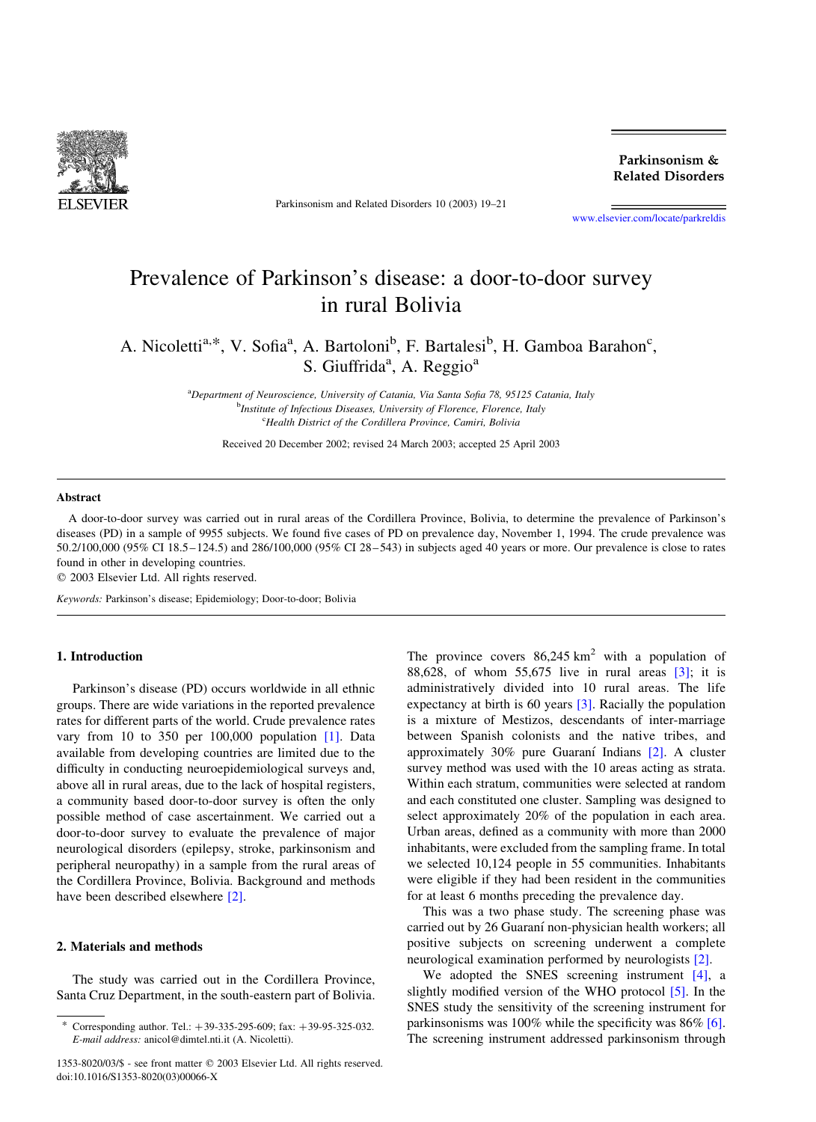

Parkinsonism and Related Disorders 10 (2003) 19–21

Parkinsonism & **Related Disorders** 

[www.elsevier.com/locate/parkreldis](http://www.elsevier.com/locate/parkreldis)

# Prevalence of Parkinson's disease: a door-to-door survey in rural Bolivia

A. Nicoletti<sup>a,\*</sup>, V. Sofia<sup>a</sup>, A. Bartoloni<sup>b</sup>, F. Bartalesi<sup>b</sup>, H. Gamboa Barahon<sup>c</sup>, S. Giuffrida<sup>a</sup>, A. Reggio<sup>a</sup>

> <sup>a</sup>Department of Neuroscience, University of Catania, Via Santa Sofia 78, 95125 Catania, Italy <sup>b</sup>Institute of Infectious Diseases, University of Florence, Florence, Italy <sup>c</sup>Health District of the Cordillera Province, Camiri, Bolivia

Received 20 December 2002; revised 24 March 2003; accepted 25 April 2003

#### Abstract

A door-to-door survey was carried out in rural areas of the Cordillera Province, Bolivia, to determine the prevalence of Parkinson's diseases (PD) in a sample of 9955 subjects. We found five cases of PD on prevalence day, November 1, 1994. The crude prevalence was 50.2/100,000 (95% CI 18.5–124.5) and 286/100,000 (95% CI 28–543) in subjects aged 40 years or more. Our prevalence is close to rates found in other in developing countries.

 $©$  2003 Elsevier Ltd. All rights reserved.

Keywords: Parkinson's disease; Epidemiology; Door-to-door; Bolivia

#### 1. Introduction

Parkinson's disease (PD) occurs worldwide in all ethnic groups. There are wide variations in the reported prevalence rates for different parts of the world. Crude prevalence rates vary from 10 to 350 per 100,000 population [\[1\].](#page-2-0) Data available from developing countries are limited due to the difficulty in conducting neuroepidemiological surveys and, above all in rural areas, due to the lack of hospital registers, a community based door-to-door survey is often the only possible method of case ascertainment. We carried out a door-to-door survey to evaluate the prevalence of major neurological disorders (epilepsy, stroke, parkinsonism and peripheral neuropathy) in a sample from the rural areas of the Cordillera Province, Bolivia. Background and methods have been described elsewhere [\[2\]](#page-2-0).

#### 2. Materials and methods

The study was carried out in the Cordillera Province, Santa Cruz Department, in the south-eastern part of Bolivia. The province covers  $86,245 \text{ km}^2$  with a population of 88,628, of whom 55,675 live in rural areas  $\lceil 3 \rceil$ ; it is administratively divided into 10 rural areas. The life expectancy at birth is 60 years [\[3\]](#page-2-0). Racially the population is a mixture of Mestizos, descendants of inter-marriage between Spanish colonists and the native tribes, and approximately  $30\%$  pure Guaraní Indians  $[2]$ . A cluster survey method was used with the 10 areas acting as strata. Within each stratum, communities were selected at random and each constituted one cluster. Sampling was designed to select approximately 20% of the population in each area. Urban areas, defined as a community with more than 2000 inhabitants, were excluded from the sampling frame. In total we selected 10,124 people in 55 communities. Inhabitants were eligible if they had been resident in the communities for at least 6 months preceding the prevalence day.

This was a two phase study. The screening phase was carried out by 26 Guaraní non-physician health workers; all positive subjects on screening underwent a complete neurological examination performed by neurologists [\[2\]](#page-2-0).

We adopted the SNES screening instrument [\[4\]](#page-2-0), a slightly modified version of the WHO protocol [\[5\].](#page-2-0) In the SNES study the sensitivity of the screening instrument for parkinsonisms was 100% while the specificity was 86% [\[6\]](#page-2-0). The screening instrument addressed parkinsonism through

Corresponding author. Tel.:  $+39-335-295-609$ ; fax:  $+39-95-325-032$ . E-mail address: anicol@dimtel.nti.it (A. Nicoletti).

<sup>1353-8020/03/\$ -</sup> see front matter q 2003 Elsevier Ltd. All rights reserved. doi:10.1016/S1353-8020(03)00066-X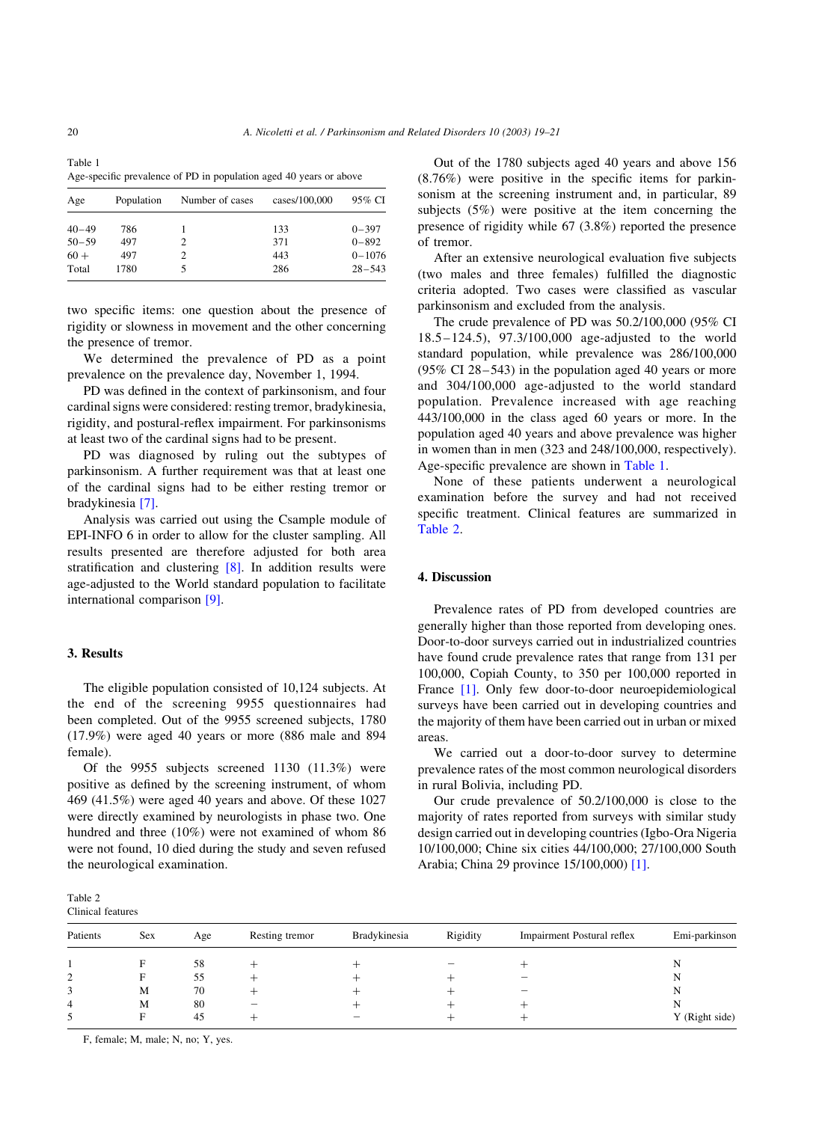Table 1 Age-specific prevalence of PD in population aged 40 years or above

| Age       | Population | Number of cases | cases/100,000 | 95% CI     |
|-----------|------------|-----------------|---------------|------------|
| $40 - 49$ | 786        |                 | 133           | $0 - 397$  |
| $50 - 59$ | 497        |                 | 371           | $0 - 892$  |
| $60 +$    | 497        |                 | 443           | $0 - 1076$ |
| Total     | 1780       |                 | 286           | $28 - 543$ |

two specific items: one question about the presence of rigidity or slowness in movement and the other concerning the presence of tremor.

We determined the prevalence of PD as a point prevalence on the prevalence day, November 1, 1994.

PD was defined in the context of parkinsonism, and four cardinal signs were considered: resting tremor, bradykinesia, rigidity, and postural-reflex impairment. For parkinsonisms at least two of the cardinal signs had to be present.

PD was diagnosed by ruling out the subtypes of parkinsonism. A further requirement was that at least one of the cardinal signs had to be either resting tremor or bradykinesia [\[7\]](#page-2-0).

Analysis was carried out using the Csample module of EPI-INFO 6 in order to allow for the cluster sampling. All results presented are therefore adjusted for both area stratification and clustering [\[8\]](#page-2-0). In addition results were age-adjusted to the World standard population to facilitate international comparison [\[9\].](#page-2-0)

### 3. Results

The eligible population consisted of 10,124 subjects. At the end of the screening 9955 questionnaires had been completed. Out of the 9955 screened subjects, 1780 (17.9%) were aged 40 years or more (886 male and 894 female).

Of the 9955 subjects screened 1130 (11.3%) were positive as defined by the screening instrument, of whom 469 (41.5%) were aged 40 years and above. Of these 1027 were directly examined by neurologists in phase two. One hundred and three (10%) were not examined of whom 86 were not found, 10 died during the study and seven refused the neurological examination.

Table 2 Clinical features

Out of the 1780 subjects aged 40 years and above 156 (8.76%) were positive in the specific items for parkinsonism at the screening instrument and, in particular, 89 subjects (5%) were positive at the item concerning the presence of rigidity while 67 (3.8%) reported the presence of tremor.

After an extensive neurological evaluation five subjects (two males and three females) fulfilled the diagnostic criteria adopted. Two cases were classified as vascular parkinsonism and excluded from the analysis.

The crude prevalence of PD was 50.2/100,000 (95% CI 18.5–124.5), 97.3/100,000 age-adjusted to the world standard population, while prevalence was 286/100,000 (95% CI 28–543) in the population aged 40 years or more and 304/100,000 age-adjusted to the world standard population. Prevalence increased with age reaching 443/100,000 in the class aged 60 years or more. In the population aged 40 years and above prevalence was higher in women than in men (323 and 248/100,000, respectively). Age-specific prevalence are shown in Table 1.

None of these patients underwent a neurological examination before the survey and had not received specific treatment. Clinical features are summarized in Table 2.

# 4. Discussion

Prevalence rates of PD from developed countries are generally higher than those reported from developing ones. Door-to-door surveys carried out in industrialized countries have found crude prevalence rates that range from 131 per 100,000, Copiah County, to 350 per 100,000 reported in France [\[1\]](#page-2-0). Only few door-to-door neuroepidemiological surveys have been carried out in developing countries and the majority of them have been carried out in urban or mixed areas.

We carried out a door-to-door survey to determine prevalence rates of the most common neurological disorders in rural Bolivia, including PD.

Our crude prevalence of 50.2/100,000 is close to the majority of rates reported from surveys with similar study design carried out in developing countries (Igbo-Ora Nigeria 10/100,000; Chine six cities 44/100,000; 27/100,000 South Arabia; China 29 province 15/100,000) [\[1\]](#page-2-0).

| Patients | Sex | Age | Resting tremor           | Bradykinesia | Rigidity | Impairment Postural reflex | Emi-parkinson  |
|----------|-----|-----|--------------------------|--------------|----------|----------------------------|----------------|
|          | F   | 58  |                          |              |          |                            | N              |
|          | F   | 55  |                          |              |          |                            | N              |
|          | M   | 70  |                          |              |          |                            | N              |
|          | M   | 80  | $\overline{\phantom{0}}$ |              |          |                            | N              |
|          | Е   | 45  |                          |              |          |                            | Y (Right side) |
|          |     |     |                          |              |          |                            |                |

F, female; M, male; N, no; Y, yes.